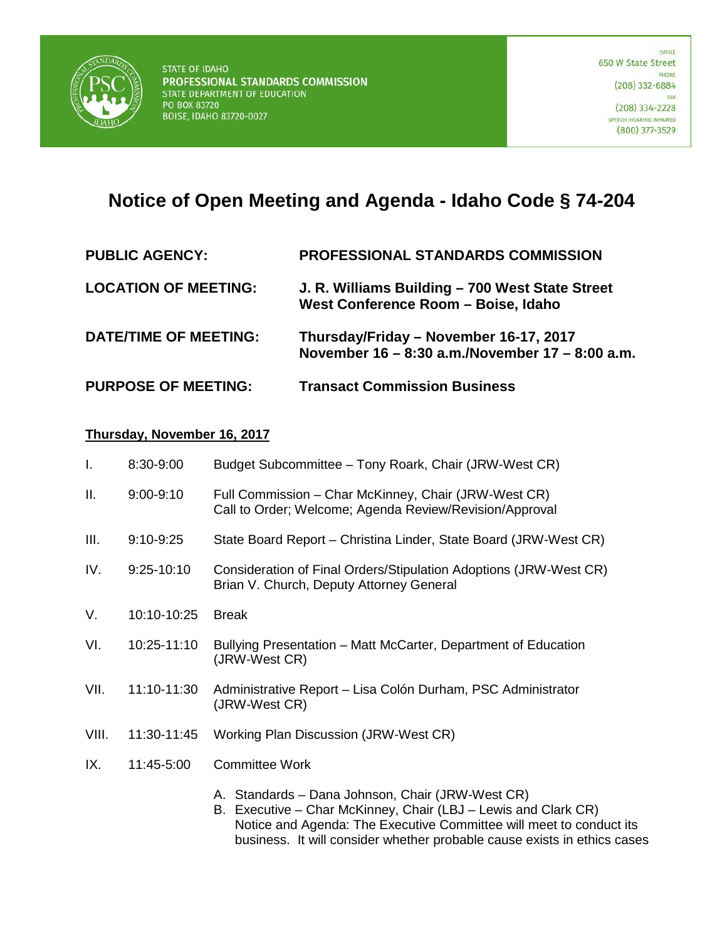

## **Notice of Open Meeting and Agenda - Idaho Code § 74-204**

| <b>PUBLIC AGENCY:</b>        | PROFESSIONAL STANDARDS COMMISSION                                                         |
|------------------------------|-------------------------------------------------------------------------------------------|
| <b>LOCATION OF MEETING:</b>  | J. R. Williams Building - 700 West State Street<br>West Conference Room - Boise, Idaho    |
| <b>DATE/TIME OF MEETING:</b> | Thursday/Friday - November 16-17, 2017<br>November 16 – 8:30 a.m./November 17 – 8:00 a.m. |
| <b>PURPOSE OF MEETING:</b>   | <b>Transact Commission Business</b>                                                       |

## **Thursday, November 16, 2017**

| I.    | 8:30-9:00    | Budget Subcommittee - Tony Roark, Chair (JRW-West CR)                                                                                                                                     |
|-------|--------------|-------------------------------------------------------------------------------------------------------------------------------------------------------------------------------------------|
| Ш.    | $9:00-9:10$  | Full Commission - Char McKinney, Chair (JRW-West CR)<br>Call to Order; Welcome; Agenda Review/Revision/Approval                                                                           |
| Ш.    | $9:10-9:25$  | State Board Report - Christina Linder, State Board (JRW-West CR)                                                                                                                          |
| IV.   | $9:25-10:10$ | Consideration of Final Orders/Stipulation Adoptions (JRW-West CR)<br>Brian V. Church, Deputy Attorney General                                                                             |
| V.    | 10:10-10:25  | <b>Break</b>                                                                                                                                                                              |
| VI.   | 10:25-11:10  | Bullying Presentation – Matt McCarter, Department of Education<br>(JRW-West CR)                                                                                                           |
| VII.  | 11:10-11:30  | Administrative Report - Lisa Colón Durham, PSC Administrator<br>(JRW-West CR)                                                                                                             |
| VIII. | 11:30-11:45  | Working Plan Discussion (JRW-West CR)                                                                                                                                                     |
| IX.   | 11:45-5:00   | <b>Committee Work</b>                                                                                                                                                                     |
|       |              | A. Standards - Dana Johnson, Chair (JRW-West CR)<br>B. Executive – Char McKinney, Chair (LBJ – Lewis and Clark CR)<br>Notice and Agenda: The Executive Committee will meet to conduct its |

business. It will consider whether probable cause exists in ethics cases